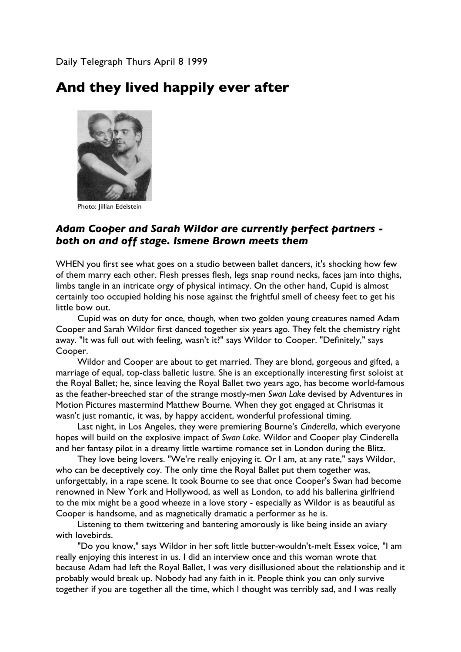Daily Telegraph Thurs April 8 1999

## **And they lived happily ever after**



Photo: Jillian Edelstein

## *Adam Cooper and Sarah Wildor are currently perfect partners both on and off stage. Ismene Brown meets them*

WHEN you first see what goes on a studio between ballet dancers, it's shocking how few of them marry each other. Flesh presses flesh, legs snap round necks, faces jam into thighs, limbs tangle in an intricate orgy of physical intimacy. On the other hand, Cupid is almost certainly too occupied holding his nose against the frightful smell of cheesy feet to get his little bow out.

Cupid was on duty for once, though, when two golden young creatures named Adam Cooper and Sarah Wildor first danced together six years ago. They felt the chemistry right away. "It was full out with feeling, wasn't it?" says Wildor to Cooper. "Definitely," says Cooper.

Wildor and Cooper are about to get married. They are blond, gorgeous and gifted, a marriage of equal, top-class balletic lustre. She is an exceptionally interesting first soloist at the Royal Ballet; he, since leaving the Royal Ballet two years ago, has become world-famous as the feather-breeched star of the strange mostly-men *Swan Lake* devised by Adventures in Motion Pictures mastermind Matthew Bourne. When they got engaged at Christmas it wasn't just romantic, it was, by happy accident, wonderful professional timing.

Last night, in Los Angeles, they were premiering Bourne's *Cinderella*, which everyone hopes will build on the explosive impact of *Swan Lake*. Wildor and Cooper play Cinderella and her fantasy pilot in a dreamy little wartime romance set in London during the Blitz.

They love being lovers. "We're really enjoying it. Or I am, at any rate," says Wildor, who can be deceptively coy. The only time the Royal Ballet put them together was, unforgettably, in a rape scene. It took Bourne to see that once Cooper's Swan had become renowned in New York and Hollywood, as well as London, to add his ballerina girlfriend to the mix might be a good wheeze in a love story - especially as Wildor is as beautiful as Cooper is handsome, and as magnetically dramatic a performer as he is.

Listening to them twittering and bantering amorously is like being inside an aviary with lovebirds.

"Do you know," says Wildor in her soft little butter-wouldn't-melt Essex voice, "I am really enjoying this interest in us. I did an interview once and this woman wrote that because Adam had left the Royal Ballet, I was very disillusioned about the relationship and it probably would break up. Nobody had any faith in it. People think you can only survive together if you are together all the time, which I thought was terribly sad, and I was really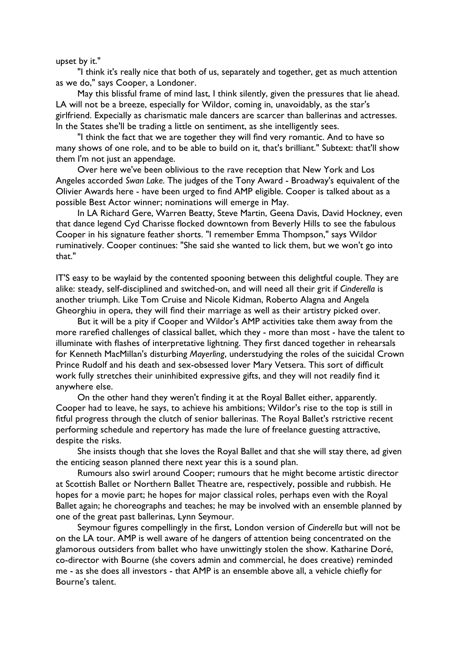upset by it."

"I think it's really nice that both of us, separately and together, get as much attention as we do," says Cooper, a Londoner.

May this blissful frame of mind last, I think silently, given the pressures that lie ahead. LA will not be a breeze, especially for Wildor, coming in, unavoidably, as the star's girlfriend. Expecially as charismatic male dancers are scarcer than ballerinas and actresses. In the States she'll be trading a little on sentiment, as she intelligently sees.

"I think the fact that we are together they will find very romantic. And to have so many shows of one role, and to be able to build on it, that's brilliant." Subtext: that'll show them I'm not just an appendage.

Over here we've been oblivious to the rave reception that New York and Los Angeles accorded *Swan Lake*. The judges of the Tony Award - Broadway's equivalent of the Olivier Awards here - have been urged to find AMP eligible. Cooper is talked about as a possible Best Actor winner; nominations will emerge in May.

In LA Richard Gere, Warren Beatty, Steve Martin, Geena Davis, David Hockney, even that dance legend Cyd Charisse flocked downtown from Beverly Hills to see the fabulous Cooper in his signature feather shorts. "I remember Emma Thompson," says Wildor ruminatively. Cooper continues: "She said she wanted to lick them, but we won't go into that."

IT'S easy to be waylaid by the contented spooning between this delightful couple. They are alike: steady, self-disciplined and switched-on, and will need all their grit if *Cinderella* is another triumph. Like Tom Cruise and Nicole Kidman, Roberto Alagna and Angela Gheorghiu in opera, they will find their marriage as well as their artistry picked over.

But it will be a pity if Cooper and Wildor's AMP activities take them away from the more rarefied challenges of classical ballet, which they - more than most - have the talent to illuminate with flashes of interpretative lightning. They first danced together in rehearsals for Kenneth MacMillan's disturbing *Mayerling*, understudying the roles of the suicidal Crown Prince Rudolf and his death and sex-obsessed lover Mary Vetsera. This sort of difficult work fully stretches their uninhibited expressive gifts, and they will not readily find it anywhere else.

On the other hand they weren't finding it at the Royal Ballet either, apparently. Cooper had to leave, he says, to achieve his ambitions; Wildor's rise to the top is still in fitful progress through the clutch of senior ballerinas. The Royal Ballet's rstrictive recent performing schedule and repertory has made the lure of freelance guesting attractive, despite the risks.

She insists though that she loves the Royal Ballet and that she will stay there, ad given the enticing season planned there next year this is a sound plan.

Rumours also swirl around Cooper; rumours that he might become artistic director at Scottish Ballet or Northern Ballet Theatre are, respectively, possible and rubbish. He hopes for a movie part; he hopes for major classical roles, perhaps even with the Royal Ballet again; he choreographs and teaches; he may be involved with an ensemble planned by one of the great past ballerinas, Lynn Seymour.

Seymour figures compellingly in the first, London version of *Cinderella* but will not be on the LA tour. AMP is well aware of he dangers of attention being concentrated on the glamorous outsiders from ballet who have unwittingly stolen the show. Katharine Doré, co-director with Bourne (she covers admin and commercial, he does creative) reminded me - as she does all investors - that AMP is an ensemble above all, a vehicle chiefly for Bourne's talent.